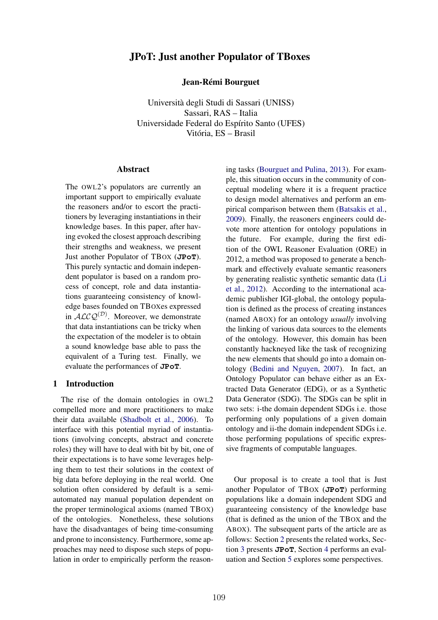# JPoT: Just another Populator of TBoxes

Jean-Rémi Bourguet

Università degli Studi di Sassari (UNISS) Sassari, RAS – Italia Universidade Federal do Espírito Santo (UFES) Vitória, ES – Brasil

#### Abstract

The OWL2's populators are currently an important support to empirically evaluate the reasoners and/or to escort the practitioners by leveraging instantiations in their knowledge bases. In this paper, after having evoked the closest approach describing their strengths and weakness, we present Just another Populator of TBOX (**JPoT**). This purely syntactic and domain independent populator is based on a random process of concept, role and data instantiations guaranteeing consistency of knowledge bases founded on TBOXes expressed in *ALCQ*(*D*) . Moreover, we demonstrate that data instantiations can be tricky when the expectation of the modeler is to obtain a sound knowledge base able to pass the equivalent of a Turing test. Finally, we evaluate the performances of **JPoT**.

#### 1 Introduction

The rise of the domain ontologies in OWL2 compelled more and more practitioners to make their data available (Shadbolt et al., 2006). To interface with this potential myriad of instantiations (involving concepts, abstract and concrete roles) they will have to deal with bit by bit, one of their expectations is to have some leverages helping them to test their solutions in the context of big data before deploying in the real world. One solution often considered by default is a semiautomated nay manual population dependent on the proper terminological axioms (named TBOX) of the ontologies. Nonetheless, these solutions have the disadvantages of being time-consuming and prone to inconsistency. Furthermore, some approaches may need to dispose such steps of population in order to empirically perform the reasoning tasks (Bourguet and Pulina, 2013). For example, this situation occurs in the community of conceptual modeling where it is a frequent practice to design model alternatives and perform an empirical comparison between them (Batsakis et al., 2009). Finally, the reasoners engineers could devote more attention for ontology populations in the future. For example, during the first edition of the OWL Reasoner Evaluation (ORE) in 2012, a method was proposed to generate a benchmark and effectively evaluate semantic reasoners by generating realistic synthetic semantic data (Li et al., 2012). According to the international academic publisher IGI-global, the ontology population is defined as the process of creating instances (named ABOX) for an ontology *usually* involving the linking of various data sources to the elements of the ontology. However, this domain has been constantly hackneyed like the task of recognizing the new elements that should go into a domain ontology (Bedini and Nguyen, 2007). In fact, an Ontology Populator can behave either as an Extracted Data Generator (EDG), or as a Synthetic Data Generator (SDG). The SDGs can be split in two sets: i-the domain dependent SDGs i.e. those performing only populations of a given domain ontology and ii-the domain independent SDGs i.e. those performing populations of specific expressive fragments of computable languages.

Our proposal is to create a tool that is Just another Populator of TBOX (**JPoT**) performing populations like a domain independent SDG and guaranteeing consistency of the knowledge base (that is defined as the union of the TBOX and the ABOX). The subsequent parts of the article are as follows: Section 2 presents the related works, Section 3 presents **JPoT**, Section 4 performs an evaluation and Section 5 explores some perspectives.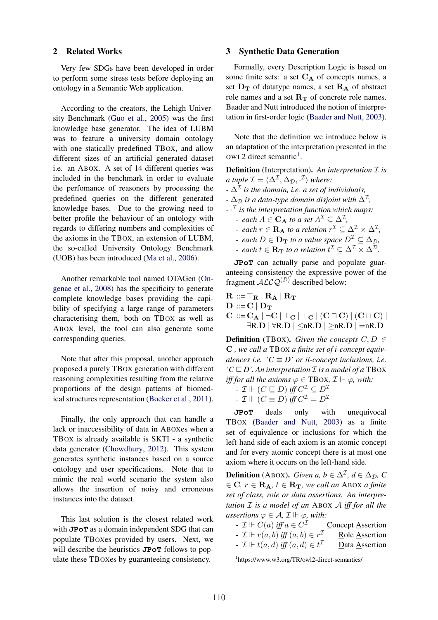#### 2 Related Works

Very few SDGs have been developed in order to perform some stress tests before deploying an ontology in a Semantic Web application.

According to the creators, the Lehigh University Benchmark (Guo et al., 2005) was the first knowledge base generator. The idea of LUBM was to feature a university domain ontology with one statically predefined TBOX, and allow different sizes of an artificial generated dataset i.e. an ABOX. A set of 14 different queries was included in the benchmark in order to evaluate the perfomance of reasoners by processing the predefined queries on the different generated knowledge bases. Due to the growing need to better profile the behaviour of an ontology with regards to differing numbers and complexities of the axioms in the TBOX, an extension of LUBM, the so-called University Ontology Benchmark (UOB) has been introduced (Ma et al., 2006).

Another remarkable tool named OTAGen (Ongenae et al., 2008) has the specificity to generate complete knowledge bases providing the capibility of specifying a large range of parameters characterising them, both on TBOX as well as ABOX level, the tool can also generate some corresponding queries.

Note that after this proposal, another approach proposed a purely TBOX generation with different reasoning complexities resulting from the relative proportions of the design patterns of biomedical structures representation (Boeker et al., 2011).

Finally, the only approach that can handle a lack or inaccessibility of data in ABOXes when a TBOX is already available is SKTI - a synthetic data generator (Chowdhury, 2012). This system generates synthetic instances based on a source ontology and user specifications. Note that to mimic the real world scenario the system also allows the insertion of noisy and erroneous instances into the dataset.

This last solution is the closest related work with **JPoT** as a domain independent SDG that can populate TBOXes provided by users. Next, we will describe the heuristics **JPoT** follows to populate these TBOXes by guaranteeing consistency.

### 3 Synthetic Data Generation

Formally, every Description Logic is based on some finite sets: a set  $C_A$  of concepts names, a set  $D_T$  of datatype names, a set  $R_A$  of abstract role names and a set  $R_T$  of concrete role names. Baader and Nutt introduced the notion of interpretation in first-order logic (Baader and Nutt, 2003).

Note that the definition we introduce below is an adaptation of the interpretation presented in the OWL2 direct semantic<sup>1</sup>.

Definition (Interpretation). *An interpretation I is a tuple*  $\mathcal{I} = \langle \Delta^{\mathcal{I}}, \Delta_{\mathcal{D}}, \cdot^{\mathcal{I}} \rangle$  where: *-*  $\Delta^{\mathcal{I}}$  *is the domain, i.e. a set of individuals,* 

*-*  $\Delta_{\mathcal{D}}$  *is a data-type domain disjoint with*  $\Delta^{I}$ ,

- *- · I is the interpretation function which maps: - each*  $A \in \mathbf{C_A}$  *to a set*  $A^{\mathcal{I}} \subseteq \Delta^{\mathcal{I}}$ ,
	- *- each*  $r \in \mathbf{R}_{\mathbf{A}}$  *to a relation*  $r^{\mathcal{I}} \subseteq \Delta^{\mathcal{I}} \times \Delta^{\mathcal{I}}$ ,
	- $\overline{P}$  *each*  $D \in \mathbf{D}_\mathbf{T}$  *to a value space*  $D^{\mathcal{I}} \subseteq \Delta_{\mathcal{D}}$ ,
	- *- each*  $t \in \mathbf{R_T}$  *to a relation*  $t^{\perp} \subseteq \Delta^{\perp} \times \Delta^{\mathcal{D}}$ *.*

**JPoT** can actually parse and populate guaranteeing consistency the expressive power of the fragment  $ALCQ^{(D)}$  described below:

 $\mathbf{R} ::= \top_{\mathbf{R}} | \mathbf{R}_{\mathbf{A}} | \mathbf{R}_{\mathbf{T}}$  $D ::= C | D_T$  $C := C_A | \neg C | \top_C | \bot_C | (C \sqcap C) | (C \sqcup C) |$  $\exists R.D \, | \, \forall R.D \, | \leq nR.D \, | \geq nR.D \, | = nR.D$ 

**Definition** (TBOX). *Given the concepts*  $C, D \in$ C *, we call a* TBOX *a finite set of i-concept equivalences i.e.*  $C \equiv D'$  *or ii-concept inclusions, i.e.*  $C \sqsubseteq D'$ . An interpretation  $\mathcal I$  *is a model of a* TBOX *iff for all the axioms*  $\varphi \in TBOX, \mathcal{I} \Vdash \varphi$ , with:

- 
$$
\mathcal{I} \Vdash (C \sqsubseteq D)
$$
 iff  $C^{\mathcal{I}} \subseteq D^{\mathcal{I}}$ 

$$
- \mathcal{I} \Vdash (C \equiv D) \text{ iff } C^{\mathcal{I}} = D^{\mathcal{I}}
$$

**JPoT** deals only with unequivocal TBOX (Baader and Nutt, 2003) as a finite set of equivalence or inclusions for which the left-hand side of each axiom is an atomic concept and for every atomic concept there is at most one axiom where it occurs on the left-hand side.

**Definition** (ABOX). *Given a, b*  $\in \Delta^{\mathcal{I}}$ , *d*  $\in \Delta_{\mathcal{D}}$ , *C*  $\mathbf{C}, r \in \mathbf{R_A}, t \in \mathbf{R_T},$  we call an ABOX a finite *set of class, role or data assertions. An interpretation I is a model of an* ABOX *A iff for all the*

*assertions*  $\varphi \in A$ ,  $\mathcal{I} \Vdash \varphi$ , *with:*<br> *-*  $\mathcal{I} \Vdash C(a)$  *iff*  $a \in C^{\mathcal{I}}$  <u>Concept Assertion</u> *- I*  $\Vdash$  *C*(*a*) *iff a* ∈ *C*<sup>*I*</sup> Concept Assertion <br>*- I*  $\Vdash$  *r*(*a*, *b*) *iff* (*a*, *b*) ∈ *r*<sup>*I*</sup> Role Assertion *-*  $\mathcal{I}$   $\Vdash$   $r(a, b)$  *iff*  $(a, b) \in r^{\mathcal{I}}$ *-*  $\mathcal{I}$   $\Vdash$   $t(a, d)$  *iff*  $(a, d) \in t^{\mathcal{I}}$ *I* Data Assertion

<sup>1</sup> https://www.w3.org/TR/owl2-direct-semantics/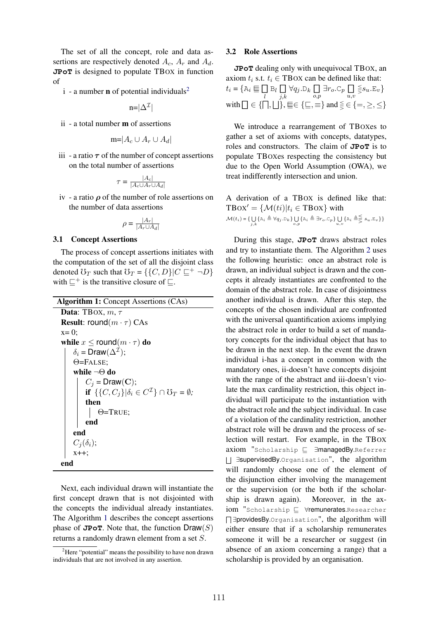The set of all the concept, role and data assertions are respectively denoted *Ac*, *A<sup>r</sup>* and *Ad*. **JPoT** is designed to populate TBOX in function of

 $i$  - a number **n** of potential individuals<sup>2</sup>

$$
n = |\Delta^{\mathcal{I}}|
$$

ii - a total number m of assertions

$$
m=|A_c\cup A_r\cup A_d|
$$

iii - a ratio  $\tau$  of the number of concept assertions on the total number of assertions

$$
\tau = \frac{|A_c|}{|A_c \cup A_r \cup A_d|}
$$

iv - a ratio  $\rho$  of the number of role assertions on the number of data assertions

$$
\rho = \frac{|A_r|}{|A_r \cup A_d|}
$$

#### 3.1 Concept Assertions

The process of concept assertions initiates with the computation of the set of all the disjoint class denoted  $\mathbb{G}_T$  such that  $\mathbb{G}_T = \{ \{ C, D \} | C \sqsubseteq^+ \neg D \}$ with  $\sqsubseteq^+$  is the transitive closure of  $\sqsubseteq$ .

Algorithm 1: Concept Assertions (CAs)

```
Data: TBOX, m, \tauResult: round(m \cdot \tau) CAs
x=0;
while x \leq round(m \cdot \tau) do
     \delta_i = \text{Draw}(\Delta^{\mathcal{I}});\Theta=FALSE;
     while ¬\Theta do
           C_j = \text{Draw}(\mathbf{C});if \{C, C_i\}|\delta_i \in C^{\mathcal{I}}\} \cap \mathcal{O}_T = \emptyset;then
                \Theta=TRUE;
           end
     end
     C_i(\delta_i);x++;
end
```
Next, each individual drawn will instantiate the first concept drawn that is not disjointed with the concepts the individual already instantiates. The Algorithm 1 describes the concept assertions phase of  $JPOT$ . Note that, the function  $Draw(S)$ returns a randomly drawn element from a set *S*.

### 3.2 Role Assertions

**JPoT** dealing only with unequivocal TBOX, an axiom  $t_i$  s.t.  $t_i \in TBOX$  can be defined like that:  $t_i = \{ A_i \equiv \prod_l$  $B_l$   $\Box$  $\prod_{j,k} \forall q_j \cdot D_k \prod_{o,p}$  $\prod_{o,p} \exists r_o.C_p \prod_{u,v}$  $\prod_{u,v} \leq s_u$ .E<sub>*v*</sub></sub> with  $\Box \in \{\Box, \Box\}$ ,  $\equiv \in \{\Xi, \equiv\}$  and  $\leqq \in \{=, \geq, \leq\}$ 

We introduce a rearrangement of TBOXes to gather a set of axioms with concepts, datatypes, roles and constructors. The claim of **JPoT** is to populate TBOXes respecting the consistency but due to the Open World Assumption (OWA), we treat indifferently intersection and union.

A derivation of a TBOX is defined like that:  $TBox' = \{M(ti)|t_i \in TBox\}$  with  $\mathcal{M}(t_i) = \{ \bigcup_{j,k} \{ A_i \triangleq \forall q_j . D_k \} \bigcup_{o,p} \{ A_i \triangleq \exists r_o . C_p \} \bigcup_{u,v} \{ A_i \triangleq \leq s_u . E_v \} \}$ 

During this stage, **JPoT** draws abstract roles and try to instantiate them. The Algorithm 2 uses the following heuristic: once an abstract role is drawn, an individual subject is drawn and the concepts it already instantiates are confronted to the domain of the abstract role. In case of disjointness another individual is drawn. After this step, the concepts of the chosen individual are confronted with the universal quantification axioms implying the abstract role in order to build a set of mandatory concepts for the individual object that has to be drawn in the next step. In the event the drawn individual i-has a concept in common with the mandatory ones, ii-doesn't have concepts disjoint with the range of the abstract and iii-doesn't violate the max cardinality restriction, this object individual will participate to the instantiation with the abstract role and the subject individual. In case of a violation of the cardinality restriction, another abstract role will be drawn and the process of selection will restart. For example, in the TBOX  $axiom$  "Scholarship  $\sqsubseteq$  3managedBy.Referrer [] EsupervisedBy.Organisation", the algorithm will randomly choose one of the element of the disjunction either involving the management or the supervision (or the both if the scholarship is drawn again). Moreover, in the ax $iom$  "Scholarship  $\Box$   $\forall$ remunerates.Researcher  $\Box$  ∋providesBy. Organisation", the algorithm will either ensure that if a scholarship remunerates someone it will be a researcher or suggest (in absence of an axiom concerning a range) that a scholarship is provided by an organisation.

<sup>&</sup>lt;sup>2</sup>Here "potential" means the possibility to have non drawn individuals that are not involved in any assertion.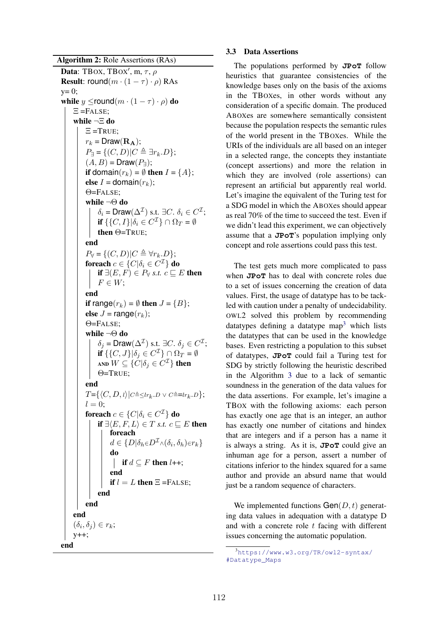# Algorithm 2: Role Assertions (RAs)

```
Data: TBOX, TBOX', m, \tau, \rhoResult: round(m \cdot (1 - \tau) \cdot \rho) RAs
y=0;
while y \leround(m \cdot (1 - \tau) \cdot \rho) do
      E =FALSE:
      while ¬⌅ do
            \Xi =TRUE;
            r_k = \text{Draw}(\mathbf{R_A});P_{\exists} = \{ (C, D) | C \triangleq \exists r_k \ldotp D \};(A, B) = Draw(P_{\exists});
            if domain(r_k) = \emptyset then I = \{A\};
            else I = \text{domain}(r_k);
             \Theta =FALSE:
             while \neg \Theta do
                   \delta_i = Draw(\Delta^{\mathcal{I}}) s.t. \exists C. \delta_i \in C^{\mathcal{I}};
                   if \{\{C, I\}|\delta_i \in C^{\mathcal{I}}\} \cap \Omega_T = \emptysetthen \Theta=TRUE;
            end
             P_{\forall} = \{(C, D) | C \triangleq \forall r_k, D\};foreach c \in \{C | \delta_i \in C^{\mathcal{I}}\}\do
                   if \exists (E, F) \in P_{\forall} s.t. c \sqsubseteq E then
                  F \in W;
            end
            if range(r_k) = \emptyset then J = {B};
            else J = \text{range}(r_k);
             \Theta=FALSE;
             while ¬\Theta do
                   \delta_j = Draw(\Delta^{\mathcal{I}}) s.t. \exists C. \delta_j \in C^{\mathcal{I}};
                   if \{\{C, J\}|\delta_i \in C^{\mathcal{I}}\} \cap \Omega_T = \emptysetAND W \subseteq \{C | \delta_i \in C^{\mathcal{I}}\} then
                   \Theta=TRUE:
            end
            T = \{ \langle C, D, l \rangle | C \triangleq \leq l r_k, D \vee C \triangleq = l r_k, D \};l = 0;foreach c \in \{C | \delta_i \in C^{\mathcal{I}}\} do
                   if \exists \langle E, F, L \rangle \in T s.t. c \sqsubseteq E then
                         foreach
                         d \in \{D|\delta_h \in D^{\mathcal{I}} \wedge (\delta_i, \delta_h) \in r_k\}do
                             if d \subseteq F then l++;
                           \mathbb{L}end
                         if l = L then \Xi =FALSE;
                   end
            end
      end
      (\delta_i, \delta_j) \in r_k;y++;
end
```
### 3.3 Data Assertions

The populations performed by **JPoT** follow heuristics that guarantee consistencies of the knowledge bases only on the basis of the axioms in the TBOXes, in other words without any consideration of a specific domain. The produced ABOXes are somewhere semantically consistent because the population respects the semantic rules of the world present in the TBOXes. While the URIs of the individuals are all based on an integer in a selected range, the concepts they instantiate (concept assertions) and more the relation in which they are involved (role assertions) can represent an artificial but apparently real world. Let's imagine the equivalent of the Turing test for a SDG model in which the ABOXes should appear as real 70% of the time to succeed the test. Even if we didn't lead this experiment, we can objectively assume that a **JPoT**'s population implying only concept and role assertions could pass this test.

The test gets much more complicated to pass when **JPoT** has to deal with concrete roles due to a set of issues concerning the creation of data values. First, the usage of datatype has to be tackled with caution under a penalty of undecidability. OWL2 solved this problem by recommending datatypes defining a datatype map<sup>3</sup> which lists the datatypes that can be used in the knowledge bases. Even restricting a population to this subset of datatypes, **JPoT** could fail a Turing test for SDG by strictly following the heuristic described in the Algorithm 3 due to a lack of semantic soundness in the generation of the data values for the data assertions. For example, let's imagine a TBOX with the following axioms: each person has exactly one age that is an integer, an author has exactly one number of citations and hindex that are integers and if a person has a name it is always a string. As it is, **JPoT** could give an inhuman age for a person, assert a number of citations inferior to the hindex squared for a same author and provide an absurd name that would just be a random sequence of characters.

We implemented functions Gen(*D, t*) generating data values in adequation with a datatype D and with a concrete role *t* facing with different issues concerning the automatic population.

<sup>3</sup> https://www.w3.org/TR/owl2-syntax/ #Datatype\_Maps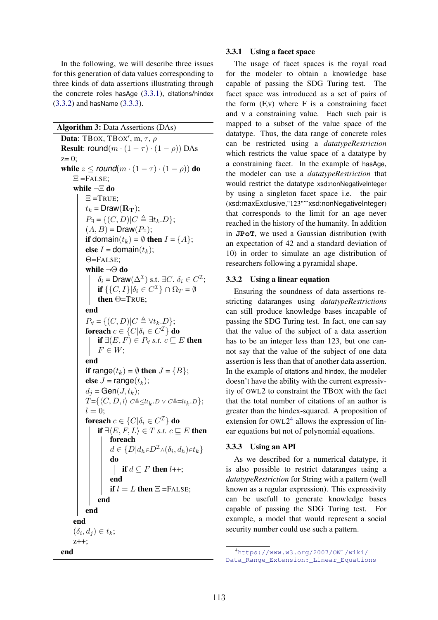In the following, we will describe three issues for this generation of data values corresponding to three kinds of data assertions illustrating through the concrete roles hasAge (3.3.1), citations/hindex (3.3.2) and hasName (3.3.3).

Algorithm 3: Data Assertions (DAs)

```
Data: TBOX, TBOX', m, \tau, \rhoResult: round(m \cdot (1 - \tau) \cdot (1 - \rho)) DAs
z=0:
while z \le round(m \cdot (1 - \tau) \cdot (1 - \rho)) do
     E =FALSE;
      while ¬\Xi do
            E = TRUEt_k = \text{Draw}(\mathbf{R_T});P_{\exists} = \{ (C, D) | C \triangleq \exists t_k . D \};(A, B) = \text{Draw}(P_{\exists});if domain(t_k) = \emptyset then I = \{A\};
            else I = \text{domain}(t_k);
            \Theta=FALSE;
            while ¬\Theta do
                  \delta_i = Draw(\Delta^{\mathcal{I}}) s.t. \exists C. \delta_i \in C^{\mathcal{I}};
                  if \{\{C, I\}|\delta_i \in C^{\mathcal{I}}\} \cap \Omega_T = \emptysetthen \Theta=TRUE;
            end
            P_{\forall} = \{ (C, D) | C \triangleq \forall t_k . D \};foreach c \in \{C | \delta_i \in C^{\mathcal{I}}\} do
                 if \exists (E, F) \in P_{\forall} s.t. c \sqsubseteq E then
                 F \in W:
            end
            if range(t_k) = \emptyset then J = {B};
            else J = \text{range}(t_k);
            d_j = \text{Gen}(J, t_k);T = \{ \langle C, D, \iota \rangle | C \triangleq \leq l t_k \ldots D \vee C \triangleq = l t_k \ldots D \};l = 0;
            foreach c \in \{C | \delta_i \in C^{\mathcal{I}}\}\ do
                 if \exists \langle E, F, L \rangle \in T s.t. c \sqsubseteq E then
                        foreach
                        d \in \{D|d_h \in D^{\mathcal{I}} \wedge (\delta_i, d_h) \in t_k\}do
                             if d \subseteq F then l++;
                        end
                        if l = L then \Xi =FALSE;
                 end
           end
      end
      (\delta_i, d_j) \in t_k;
      z++;
end
```
### 3.3.1 Using a facet space

The usage of facet spaces is the royal road for the modeler to obtain a knowledge base capable of passing the SDG Turing test. The facet space was introduced as a set of pairs of the form  $(F, v)$  where  $F$  is a constraining facet and v a constraining value. Each such pair is mapped to a subset of the value space of the datatype. Thus, the data range of concrete roles can be restricted using a *datatypeRestriction* which restricts the value space of a datatype by a constraining facet. In the example of hasAge, the modeler can use a *datatypeRestriction* that would restrict the datatype xsd:nonNegativeInteger by using a singleton facet space i.e. the pair (xsd:maxExclusive,"123"^^xsd:nonNegativeInteger) that corresponds to the limit for an age never reached in the history of the humanity. In addition in **JPoT**, we used a Gaussian distribution (with an expectation of 42 and a standard deviation of 10) in order to simulate an age distribution of researchers following a pyramidal shape.

### 3.3.2 Using a linear equation

Ensuring the soundness of data assertions restricting dataranges using *datatypeRestrictions* can still produce knowledge bases incapable of passing the SDG Turing test. In fact, one can say that the value of the subject of a data assertion has to be an integer less than 123, but one cannot say that the value of the subject of one data assertion is less than that of another data assertion. In the example of citations and hindex, the modeler doesn't have the ability with the current expressivity of OWL2 to constraint the TBOX with the fact that the total number of citations of an author is greater than the hindex-squared. A proposition of extension for  $OWL2<sup>4</sup>$  allows the expression of linear equations but not of polynomial equations.

# 3.3.3 Using an API

As we described for a numerical datatype, it is also possible to restrict dataranges using a *datatypeRestriction* for String with a pattern (well known as a regular expression). This expressivity can be usefull to generate knowledge bases capable of passing the SDG Turing test. For example, a model that would represent a social security number could use such a pattern.

<sup>4</sup> https://www.w3.org/2007/OWL/wiki/ Data\_Range\_Extension:\_Linear\_Equations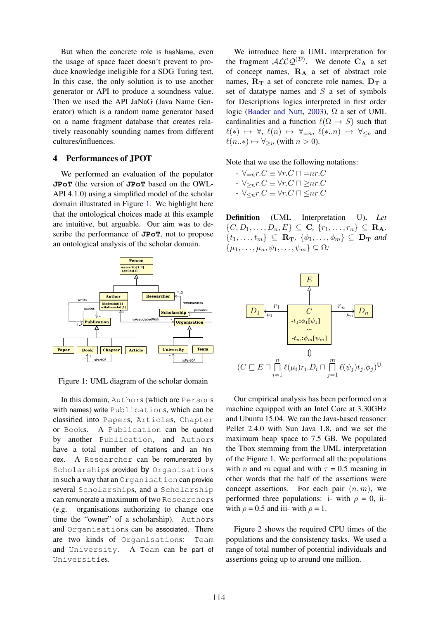But when the concrete role is hasName, even the usage of space facet doesn't prevent to produce knowledge ineligible for a SDG Turing test. In this case, the only solution is to use another generator or API to produce a soundness value. Then we used the API JaNaG (Java Name Generator) which is a random name generator based on a name fragment database that creates relatively reasonably sounding names from different cultures/influences.

### 4 Performances of JPOT

We performed an evaluation of the populator **JPoT** (the version of **JPoT** based on the OWL-API 4.1.0) using a simplified model of the scholar domain illustrated in Figure 1. We highlight here that the ontological choices made at this example are intuitive, but arguable. Our aim was to describe the performance of **JPoT**, not to propose an ontological analysis of the scholar domain.



Figure 1: UML diagram of the scholar domain

In this domain, Authors (which are Persons with names) write Publications, which can be classified into Papers, Articles, Chapter or Books. A Publication can be quoted by another Publication, and Authors have a total number of citations and an hindex. A Researcher can be remunerated by Scholarships provided by Organisations in such a way that an Organisation can provide several Scholarships, and a Scholarship can remunerate a maximum of two Researchers (e.g. organisations authorizing to change one time the "owner" of a scholarship). Authors and Organisations can be associated. There are two kinds of Organisations: Team and University. A Team can be part of Universities.

We introduce here a UML interpretation for the fragment  $ALCQ^{(D)}$ . We denote  $C_A$  a set of concept names,  $\mathbf{R}_{\mathbf{A}}$  a set of abstract role names,  $\mathbf{R}_{\mathbf{T}}$  a set of concrete role names,  $\mathbf{D}_{\mathbf{T}}$  a set of datatype names and *S* a set of symbols for Descriptions logics interpreted in first order logic (Baader and Nutt, 2003),  $\Omega$  a set of UML cardinalities and a function  $\ell(\Omega \to S)$  such that  $\ell(*) \mapsto \forall, \ell(n) \mapsto \forall_{=n}, \ell(*..n) \mapsto \forall_{\leq n}$  and  $\ell(n.*) \mapsto \forall_{\geq n}$  (with  $n > 0$ ).

Note that we use the following notations:

 $\forall x \in \forall r.C \in \forall r.C \sqcap = nr.C$  $\forall r \in V_{\geq n} r.C \equiv \forall r.C \sqcap \exists nr.C$  $\forall r \in \forall r.C \equiv \forall r.C \sqcap \leq nr.C$ 

Definition (UML Interpretation U). *Let*  $\{C, D_1, \ldots, D_n, E\} \subseteq \mathbf{C}, \{r_1, \ldots, r_n\} \subseteq \mathbf{R}_A$  $\{t_1,\ldots,t_m\} \subseteq \mathbf{R_T}, \{\phi_1,\ldots,\phi_m\} \subseteq \mathbf{D_T}$  and  $\{\mu_1, \ldots, \mu_n, \psi_1, \ldots, \psi_m\} \subseteq \Omega$ :



Our empirical analysis has been performed on a machine equipped with an Intel Core at 3.30GHz and Ubuntu 15.04. We ran the Java-based reasoner Pellet 2.4.0 with Sun Java 1.8, and we set the maximum heap space to 7.5 GB. We populated the Tbox stemming from the UML interpretation of the Figure 1. We performed all the populations with *n* and *m* equal and with  $\tau = 0.5$  meaning in other words that the half of the assertions were concept assertions. For each pair (*n, m*), we performed three populations: i- with  $\rho = 0$ , iiwith  $\rho = 0.5$  and iii- with  $\rho = 1$ .

Figure 2 shows the required CPU times of the populations and the consistency tasks. We used a range of total number of potential individuals and assertions going up to around one million.